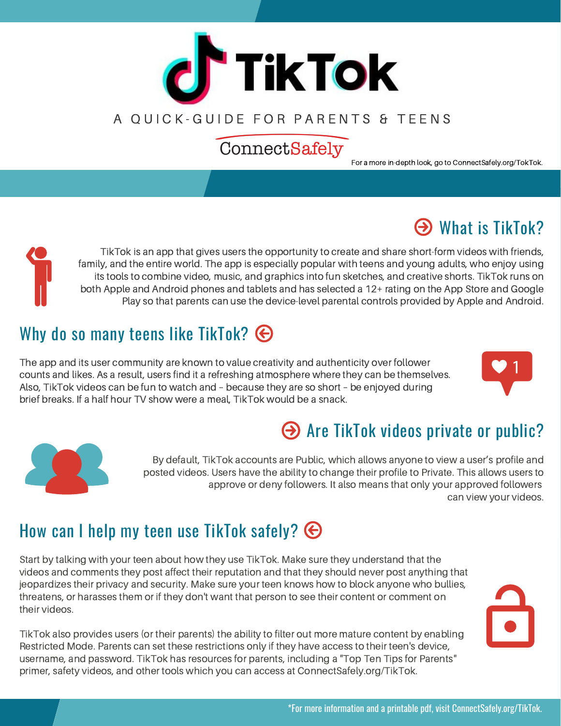

## A OUICK-GUIDE FOR PARENTS & TEENS

# ConnectSafely

For a more in-depth look, go to ConnectSafely.org/TokTok.

# $\Theta$  What is TikTok?

TikTok is an app that gives users the opportunity to create and share short-form videos with friends, family, and the entire world. The app is especially popular with teens and young adults, who enjoy using its tools to combine video, music, and graphics into fun sketches, and creative shorts. TikTok runs on both Apple and Android phones and tablets and has selected a 12+ rating on the App Store and Google Play so that parents can use the device-level parental controls provided by Apple and Android.

# Why do so many teens like TikTok?  $\bigoplus$

The app and its user community are known to value creativity and authenticity over follower counts and likes. As a result, users find it a refreshing atmosphere where they can be themselves. Also, TikTok videos can be fun to watch and – because they are so short – be enjoyed during brief breaks. If a half hour TV show were a meal, TikTok would be a snack.





# Are TikTok videos private or public?

By default, TikTok accounts are Public, which allows anyone to view a user's profile and posted videos. Users have the ability to change their profile to Private. This allows users to approve or deny followers. It also means that only your approved followers can view your videos.

# How can I help my teen use TikTok safely?  $\bigoplus$

Start by talking with your teen about how they use TikTok. Make sure they understand that the videos and comments they post affect their reputation and that they should never post anything that jeopardizes their privacy and security. Make sure your teen knows how to block anyone who bullies, threatens, or harasses them or if they don't want that person to see their content or comment on their videos.

TikTok also provides users (or their parents) the ability to filter out more mature content by enabling Restricted Mode. Parents can set these restrictions only if they have access to their teen's device, username, and password. TikTok has resources for parents, including a "Top Ten Tips for Parents" primer, safety videos, and other tools which you can access at ConnectSafely.org/TikTok.